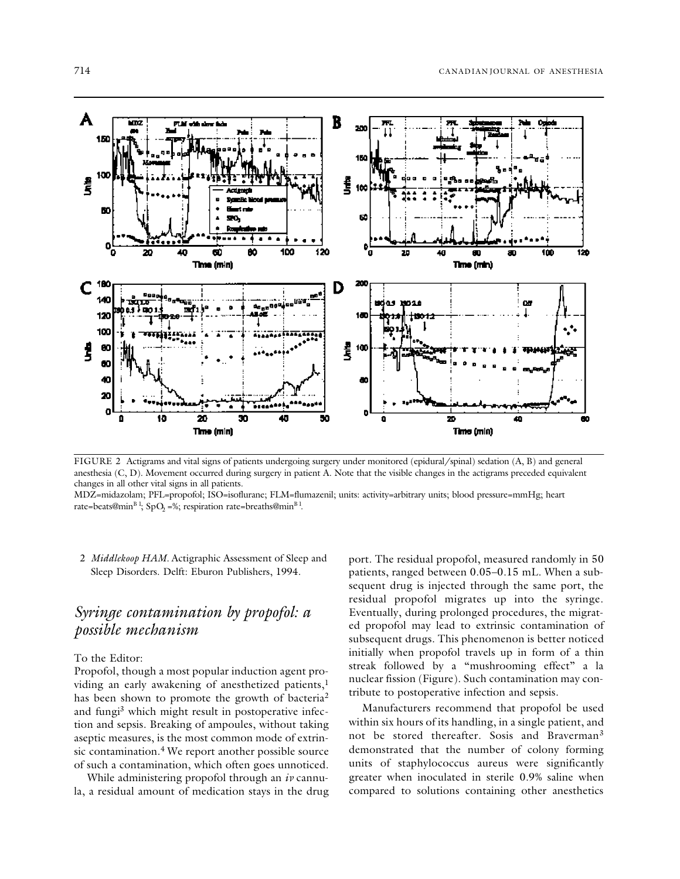

FIGURE 2 Actigrams and vital signs of patients undergoing surgery under monitored (epidural/spinal) sedation (A, B) and general anesthesia (C, D). Movement occurred during surgery in patient A. Note that the visible changes in the actigrams preceded equivalent changes in all other vital signs in all patients.

MDZ=midazolam; PFL=propofol; ISO=isoflurane; FLM=flumazenil; units: activity=arbitrary units; blood pressure=mmHg; heart rate=beats@min<sup>B 1</sup>; SpO<sub>2</sub> =%; respiration rate=breaths@min<sup>B 1</sup>.

2 *Middlekoop HAM.* Actigraphic Assessment of Sleep and Sleep Disorders. Delft: Eburon Publishers, 1994.

# *Syringe contamination by propofol: a possible mechanism*

### To the Editor:

Propofol, though a most popular induction agent providing an early awakening of anesthetized patients,<sup>1</sup> has been shown to promote the growth of bacteria<sup>2</sup> and fungi <sup>3</sup> which might result in postoperative infection and sepsis. Breaking of ampoules, without taking aseptic measures, is the most common mode of extrinsic contamination. <sup>4</sup> We report another possible source of such a contamination, which often goes unnoticed.

While administering propofol through an *iv* cannula, a residual amount of medication stays in the drug

port. The residual propofol, measured randomly in 50 patients, ranged between 0.05–0.15 mL. When a subsequent drug is injected through the same port, the residual propofol migrates up into the syringe. Eventually, during prolonged procedures, the migrated propofol may lead to extrinsic contamination of subsequent drugs. This phenomenon is better noticed initially when propofol travels up in form of a thin streak followed by a "mushrooming effect" a la nuclear fission (Figure). Such contamination may contribute to postoperative infection and sepsis.

Manufacturers recommend that propofol be used within six hours of its handling, in a single patient, and not be stored thereafter. Sosis and Braverman<sup>3</sup> demonstrated that the number of colony forming units of staphylococcus aureus were significantly greater when inoculated in sterile 0.9% saline when compared to solutions containing other anesthetics